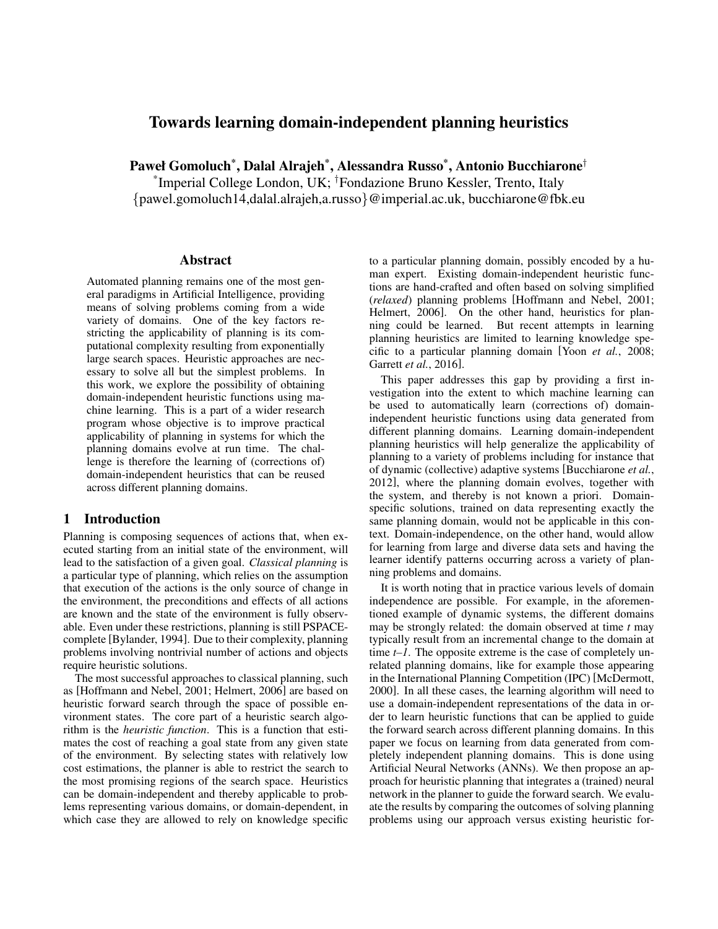# Towards learning domain-independent planning heuristics

Paweł Gomoluch\* , Dalal Alrajeh\* , Alessandra Russo\* , Antonio Bucchiarone†

\* Imperial College London, UK; †Fondazione Bruno Kessler, Trento, Italy {pawel.gomoluch14,dalal.alrajeh,a.russo}@imperial.ac.uk, bucchiarone@fbk.eu

### Abstract

Automated planning remains one of the most general paradigms in Artificial Intelligence, providing means of solving problems coming from a wide variety of domains. One of the key factors restricting the applicability of planning is its computational complexity resulting from exponentially large search spaces. Heuristic approaches are necessary to solve all but the simplest problems. In this work, we explore the possibility of obtaining domain-independent heuristic functions using machine learning. This is a part of a wider research program whose objective is to improve practical applicability of planning in systems for which the planning domains evolve at run time. The challenge is therefore the learning of (corrections of) domain-independent heuristics that can be reused across different planning domains.

### 1 Introduction

Planning is composing sequences of actions that, when executed starting from an initial state of the environment, will lead to the satisfaction of a given goal. *Classical planning* is a particular type of planning, which relies on the assumption that execution of the actions is the only source of change in the environment, the preconditions and effects of all actions are known and the state of the environment is fully observable. Even under these restrictions, planning is still PSPACEcomplete [Bylander, 1994]. Due to their complexity, planning problems involving nontrivial number of actions and objects require heuristic solutions.

The most successful approaches to classical planning, such as [Hoffmann and Nebel, 2001; Helmert, 2006] are based on heuristic forward search through the space of possible environment states. The core part of a heuristic search algorithm is the *heuristic function*. This is a function that estimates the cost of reaching a goal state from any given state of the environment. By selecting states with relatively low cost estimations, the planner is able to restrict the search to the most promising regions of the search space. Heuristics can be domain-independent and thereby applicable to problems representing various domains, or domain-dependent, in which case they are allowed to rely on knowledge specific to a particular planning domain, possibly encoded by a human expert. Existing domain-independent heuristic functions are hand-crafted and often based on solving simplified (*relaxed*) planning problems [Hoffmann and Nebel, 2001; Helmert, 2006]. On the other hand, heuristics for planning could be learned. But recent attempts in learning planning heuristics are limited to learning knowledge specific to a particular planning domain [Yoon *et al.*, 2008; Garrett *et al.*, 2016].

This paper addresses this gap by providing a first investigation into the extent to which machine learning can be used to automatically learn (corrections of) domainindependent heuristic functions using data generated from different planning domains. Learning domain-independent planning heuristics will help generalize the applicability of planning to a variety of problems including for instance that of dynamic (collective) adaptive systems [Bucchiarone *et al.*, 2012], where the planning domain evolves, together with the system, and thereby is not known a priori. Domainspecific solutions, trained on data representing exactly the same planning domain, would not be applicable in this context. Domain-independence, on the other hand, would allow for learning from large and diverse data sets and having the learner identify patterns occurring across a variety of planning problems and domains.

It is worth noting that in practice various levels of domain independence are possible. For example, in the aforementioned example of dynamic systems, the different domains may be strongly related: the domain observed at time *t* may typically result from an incremental change to the domain at time *t–1*. The opposite extreme is the case of completely unrelated planning domains, like for example those appearing in the International Planning Competition (IPC) [McDermott, 2000]. In all these cases, the learning algorithm will need to use a domain-independent representations of the data in order to learn heuristic functions that can be applied to guide the forward search across different planning domains. In this paper we focus on learning from data generated from completely independent planning domains. This is done using Artificial Neural Networks (ANNs). We then propose an approach for heuristic planning that integrates a (trained) neural network in the planner to guide the forward search. We evaluate the results by comparing the outcomes of solving planning problems using our approach versus existing heuristic for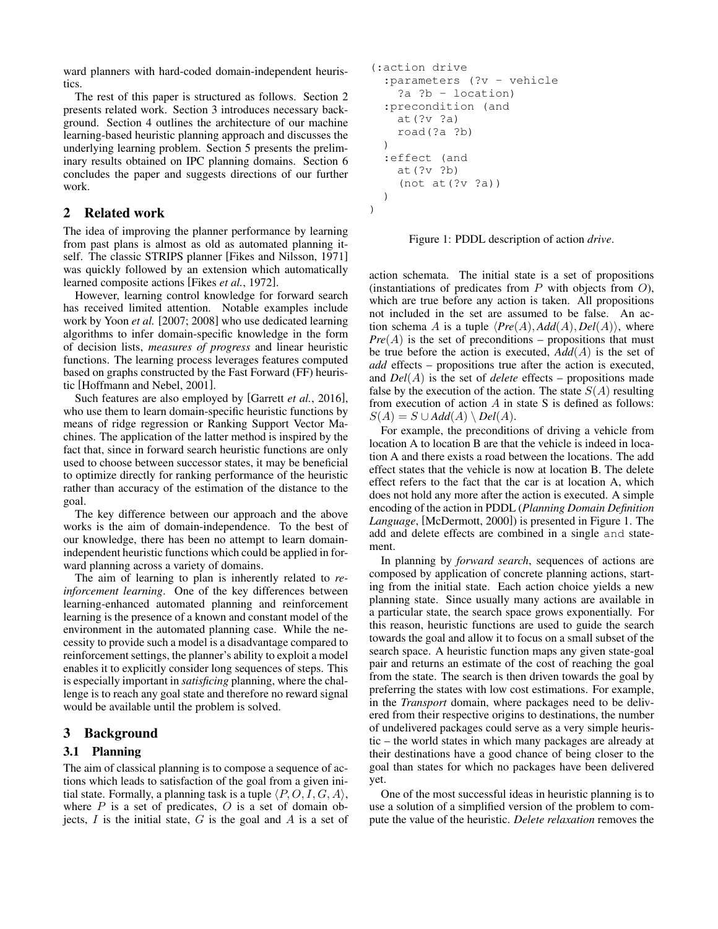ward planners with hard-coded domain-independent heuristics.

The rest of this paper is structured as follows. Section 2 presents related work. Section 3 introduces necessary background. Section 4 outlines the architecture of our machine learning-based heuristic planning approach and discusses the underlying learning problem. Section 5 presents the preliminary results obtained on IPC planning domains. Section 6 concludes the paper and suggests directions of our further work.

## 2 Related work

The idea of improving the planner performance by learning from past plans is almost as old as automated planning itself. The classic STRIPS planner [Fikes and Nilsson, 1971] was quickly followed by an extension which automatically learned composite actions [Fikes *et al.*, 1972].

However, learning control knowledge for forward search has received limited attention. Notable examples include work by Yoon *et al.* [2007; 2008] who use dedicated learning algorithms to infer domain-specific knowledge in the form of decision lists, *measures of progress* and linear heuristic functions. The learning process leverages features computed based on graphs constructed by the Fast Forward (FF) heuristic [Hoffmann and Nebel, 2001].

Such features are also employed by [Garrett *et al.*, 2016], who use them to learn domain-specific heuristic functions by means of ridge regression or Ranking Support Vector Machines. The application of the latter method is inspired by the fact that, since in forward search heuristic functions are only used to choose between successor states, it may be beneficial to optimize directly for ranking performance of the heuristic rather than accuracy of the estimation of the distance to the goal.

The key difference between our approach and the above works is the aim of domain-independence. To the best of our knowledge, there has been no attempt to learn domainindependent heuristic functions which could be applied in forward planning across a variety of domains.

The aim of learning to plan is inherently related to *reinforcement learning*. One of the key differences between learning-enhanced automated planning and reinforcement learning is the presence of a known and constant model of the environment in the automated planning case. While the necessity to provide such a model is a disadvantage compared to reinforcement settings, the planner's ability to exploit a model enables it to explicitly consider long sequences of steps. This is especially important in *satisficing* planning, where the challenge is to reach any goal state and therefore no reward signal would be available until the problem is solved.

### 3 Background

### 3.1 Planning

The aim of classical planning is to compose a sequence of actions which leads to satisfaction of the goal from a given initial state. Formally, a planning task is a tuple  $\langle P, O, I, G, A \rangle$ , where  $P$  is a set of predicates,  $O$  is a set of domain objects,  $I$  is the initial state,  $G$  is the goal and  $A$  is a set of

```
(:action drive
 :parameters (?v - vehicle
   ?a ?b - location)
:precondition (and
  at(?v ?a)
  road(?a ?b)
)
:effect (and
  at(?v ?b)
   (not at(?v ?a))
)
```
)

Figure 1: PDDL description of action *drive*.

action schemata. The initial state is a set of propositions (instantiations of predicates from  $P$  with objects from  $O$ ), which are true before any action is taken. All propositions not included in the set are assumed to be false. An action schema A is a tuple  $\langle Pre(A), Add(A), Del(A) \rangle$ , where  $Pre(A)$  is the set of preconditions – propositions that must be true before the action is executed, *Add*(A) is the set of *add* effects – propositions true after the action is executed, and *Del*(A) is the set of *delete* effects – propositions made false by the execution of the action. The state  $S(A)$  resulting from execution of action  $A$  in state  $S$  is defined as follows:  $S(A) = S \cup Add(A) \setminus Del(A).$ 

For example, the preconditions of driving a vehicle from location A to location B are that the vehicle is indeed in location A and there exists a road between the locations. The add effect states that the vehicle is now at location B. The delete effect refers to the fact that the car is at location A, which does not hold any more after the action is executed. A simple encoding of the action in PDDL (*Planning Domain Definition Language*, [McDermott, 2000]) is presented in Figure 1. The add and delete effects are combined in a single and statement.

In planning by *forward search*, sequences of actions are composed by application of concrete planning actions, starting from the initial state. Each action choice yields a new planning state. Since usually many actions are available in a particular state, the search space grows exponentially. For this reason, heuristic functions are used to guide the search towards the goal and allow it to focus on a small subset of the search space. A heuristic function maps any given state-goal pair and returns an estimate of the cost of reaching the goal from the state. The search is then driven towards the goal by preferring the states with low cost estimations. For example, in the *Transport* domain, where packages need to be delivered from their respective origins to destinations, the number of undelivered packages could serve as a very simple heuristic – the world states in which many packages are already at their destinations have a good chance of being closer to the goal than states for which no packages have been delivered yet.

One of the most successful ideas in heuristic planning is to use a solution of a simplified version of the problem to compute the value of the heuristic. *Delete relaxation* removes the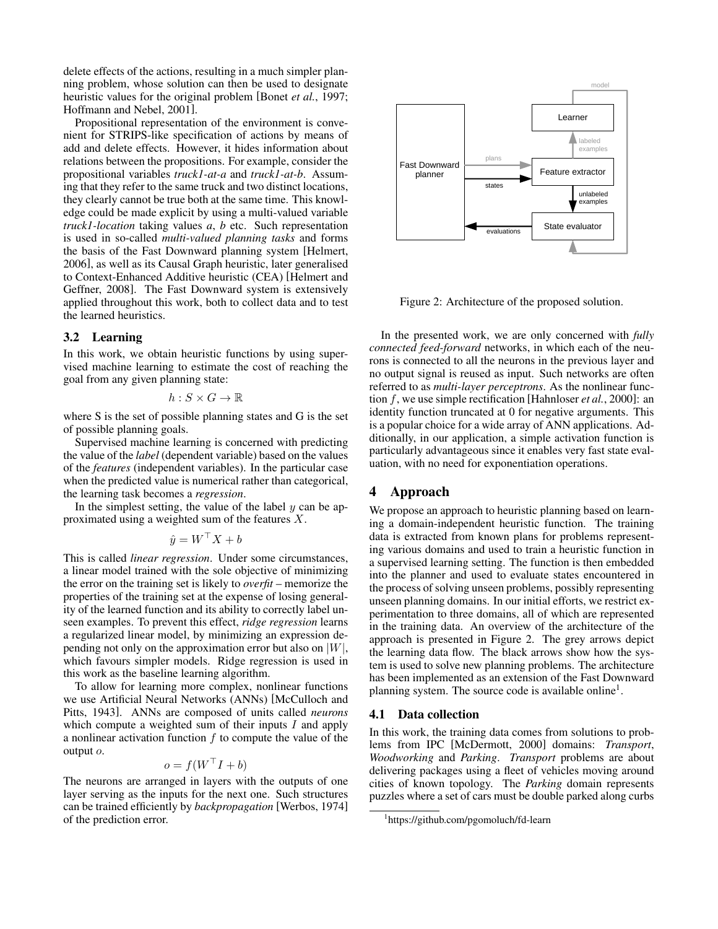delete effects of the actions, resulting in a much simpler planning problem, whose solution can then be used to designate heuristic values for the original problem [Bonet *et al.*, 1997; Hoffmann and Nebel, 2001].

Propositional representation of the environment is convenient for STRIPS-like specification of actions by means of add and delete effects. However, it hides information about relations between the propositions. For example, consider the propositional variables *truck1-at-a* and *truck1-at-b*. Assuming that they refer to the same truck and two distinct locations, they clearly cannot be true both at the same time. This knowledge could be made explicit by using a multi-valued variable *truck1-location* taking values *a*, *b* etc. Such representation is used in so-called *multi-valued planning tasks* and forms the basis of the Fast Downward planning system [Helmert, 2006], as well as its Causal Graph heuristic, later generalised to Context-Enhanced Additive heuristic (CEA) [Helmert and Geffner, 2008]. The Fast Downward system is extensively applied throughout this work, both to collect data and to test the learned heuristics.

#### 3.2 Learning

In this work, we obtain heuristic functions by using supervised machine learning to estimate the cost of reaching the goal from any given planning state:

$$
h:S\times G\to\mathbb{R}
$$

where S is the set of possible planning states and G is the set of possible planning goals.

Supervised machine learning is concerned with predicting the value of the *label* (dependent variable) based on the values of the *features* (independent variables). In the particular case when the predicted value is numerical rather than categorical, the learning task becomes a *regression*.

In the simplest setting, the value of the label  $y$  can be approximated using a weighted sum of the features X.

$$
\hat{y} = W^\top X + b
$$

This is called *linear regression*. Under some circumstances, a linear model trained with the sole objective of minimizing the error on the training set is likely to *overfit* – memorize the properties of the training set at the expense of losing generality of the learned function and its ability to correctly label unseen examples. To prevent this effect, *ridge regression* learns a regularized linear model, by minimizing an expression depending not only on the approximation error but also on  $|W|$ , which favours simpler models. Ridge regression is used in this work as the baseline learning algorithm.

To allow for learning more complex, nonlinear functions we use Artificial Neural Networks (ANNs) [McCulloch and Pitts, 1943]. ANNs are composed of units called *neurons* which compute a weighted sum of their inputs  $I$  and apply a nonlinear activation function  $f$  to compute the value of the output o.

$$
o = f(W^{\top}I + b)
$$

The neurons are arranged in layers with the outputs of one layer serving as the inputs for the next one. Such structures can be trained efficiently by *backpropagation* [Werbos, 1974] of the prediction error.



Figure 2: Architecture of the proposed solution.

In the presented work, we are only concerned with *fully connected feed-forward* networks, in which each of the neurons is connected to all the neurons in the previous layer and no output signal is reused as input. Such networks are often referred to as *multi-layer perceptrons*. As the nonlinear function f, we use simple rectification [Hahnloser *et al.*, 2000]: an identity function truncated at 0 for negative arguments. This is a popular choice for a wide array of ANN applications. Additionally, in our application, a simple activation function is particularly advantageous since it enables very fast state evaluation, with no need for exponentiation operations.

## 4 Approach

We propose an approach to heuristic planning based on learning a domain-independent heuristic function. The training data is extracted from known plans for problems representing various domains and used to train a heuristic function in a supervised learning setting. The function is then embedded into the planner and used to evaluate states encountered in the process of solving unseen problems, possibly representing unseen planning domains. In our initial efforts, we restrict experimentation to three domains, all of which are represented in the training data. An overview of the architecture of the approach is presented in Figure 2. The grey arrows depict the learning data flow. The black arrows show how the system is used to solve new planning problems. The architecture has been implemented as an extension of the Fast Downward planning system. The source code is available online<sup>1</sup>.

#### 4.1 Data collection

In this work, the training data comes from solutions to problems from IPC [McDermott, 2000] domains: *Transport*, *Woodworking* and *Parking*. *Transport* problems are about delivering packages using a fleet of vehicles moving around cities of known topology. The *Parking* domain represents puzzles where a set of cars must be double parked along curbs

<sup>1</sup> https://github.com/pgomoluch/fd-learn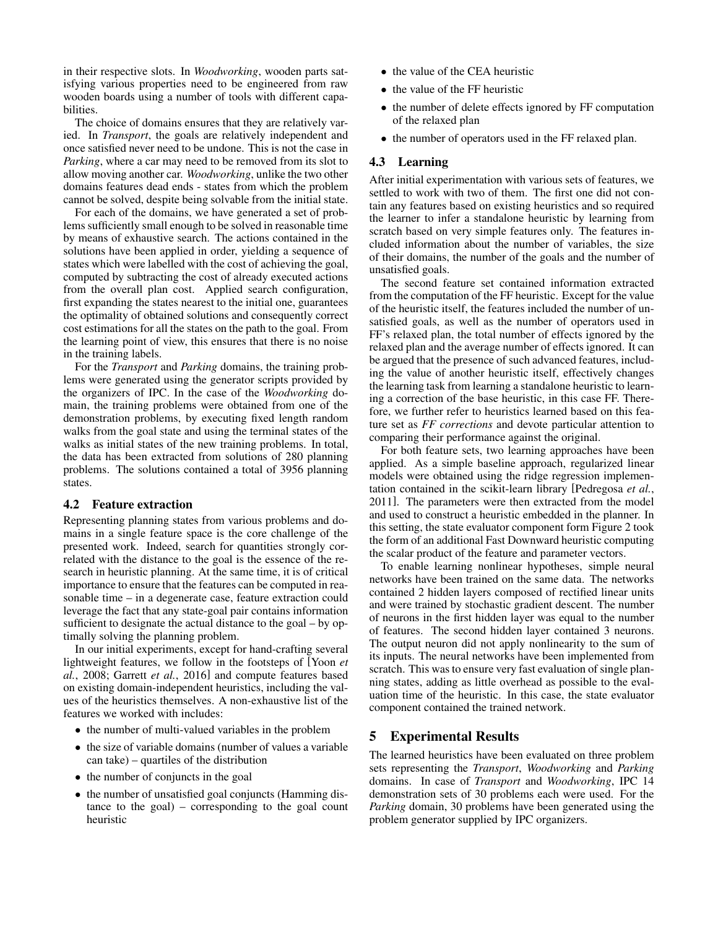in their respective slots. In *Woodworking*, wooden parts satisfying various properties need to be engineered from raw wooden boards using a number of tools with different capabilities.

The choice of domains ensures that they are relatively varied. In *Transport*, the goals are relatively independent and once satisfied never need to be undone. This is not the case in *Parking*, where a car may need to be removed from its slot to allow moving another car. *Woodworking*, unlike the two other domains features dead ends - states from which the problem cannot be solved, despite being solvable from the initial state.

For each of the domains, we have generated a set of problems sufficiently small enough to be solved in reasonable time by means of exhaustive search. The actions contained in the solutions have been applied in order, yielding a sequence of states which were labelled with the cost of achieving the goal, computed by subtracting the cost of already executed actions from the overall plan cost. Applied search configuration, first expanding the states nearest to the initial one, guarantees the optimality of obtained solutions and consequently correct cost estimations for all the states on the path to the goal. From the learning point of view, this ensures that there is no noise in the training labels.

For the *Transport* and *Parking* domains, the training problems were generated using the generator scripts provided by the organizers of IPC. In the case of the *Woodworking* domain, the training problems were obtained from one of the demonstration problems, by executing fixed length random walks from the goal state and using the terminal states of the walks as initial states of the new training problems. In total, the data has been extracted from solutions of 280 planning problems. The solutions contained a total of 3956 planning states.

### 4.2 Feature extraction

Representing planning states from various problems and domains in a single feature space is the core challenge of the presented work. Indeed, search for quantities strongly correlated with the distance to the goal is the essence of the research in heuristic planning. At the same time, it is of critical importance to ensure that the features can be computed in reasonable time – in a degenerate case, feature extraction could leverage the fact that any state-goal pair contains information sufficient to designate the actual distance to the goal – by optimally solving the planning problem.

In our initial experiments, except for hand-crafting several lightweight features, we follow in the footsteps of [Yoon *et al.*, 2008; Garrett *et al.*, 2016] and compute features based on existing domain-independent heuristics, including the values of the heuristics themselves. A non-exhaustive list of the features we worked with includes:

- the number of multi-valued variables in the problem
- the size of variable domains (number of values a variable can take) – quartiles of the distribution
- the number of conjuncts in the goal
- the number of unsatisfied goal conjuncts (Hamming distance to the goal) – corresponding to the goal count heuristic
- the value of the CEA heuristic
- the value of the FF heuristic
- the number of delete effects ignored by FF computation of the relaxed plan
- the number of operators used in the FF relaxed plan.

### 4.3 Learning

After initial experimentation with various sets of features, we settled to work with two of them. The first one did not contain any features based on existing heuristics and so required the learner to infer a standalone heuristic by learning from scratch based on very simple features only. The features included information about the number of variables, the size of their domains, the number of the goals and the number of unsatisfied goals.

The second feature set contained information extracted from the computation of the FF heuristic. Except for the value of the heuristic itself, the features included the number of unsatisfied goals, as well as the number of operators used in FF's relaxed plan, the total number of effects ignored by the relaxed plan and the average number of effects ignored. It can be argued that the presence of such advanced features, including the value of another heuristic itself, effectively changes the learning task from learning a standalone heuristic to learning a correction of the base heuristic, in this case FF. Therefore, we further refer to heuristics learned based on this feature set as *FF corrections* and devote particular attention to comparing their performance against the original.

For both feature sets, two learning approaches have been applied. As a simple baseline approach, regularized linear models were obtained using the ridge regression implementation contained in the scikit-learn library [Pedregosa *et al.*, 2011]. The parameters were then extracted from the model and used to construct a heuristic embedded in the planner. In this setting, the state evaluator component form Figure 2 took the form of an additional Fast Downward heuristic computing the scalar product of the feature and parameter vectors.

To enable learning nonlinear hypotheses, simple neural networks have been trained on the same data. The networks contained 2 hidden layers composed of rectified linear units and were trained by stochastic gradient descent. The number of neurons in the first hidden layer was equal to the number of features. The second hidden layer contained 3 neurons. The output neuron did not apply nonlinearity to the sum of its inputs. The neural networks have been implemented from scratch. This was to ensure very fast evaluation of single planning states, adding as little overhead as possible to the evaluation time of the heuristic. In this case, the state evaluator component contained the trained network.

## 5 Experimental Results

The learned heuristics have been evaluated on three problem sets representing the *Transport*, *Woodworking* and *Parking* domains. In case of *Transport* and *Woodworking*, IPC 14 demonstration sets of 30 problems each were used. For the *Parking* domain, 30 problems have been generated using the problem generator supplied by IPC organizers.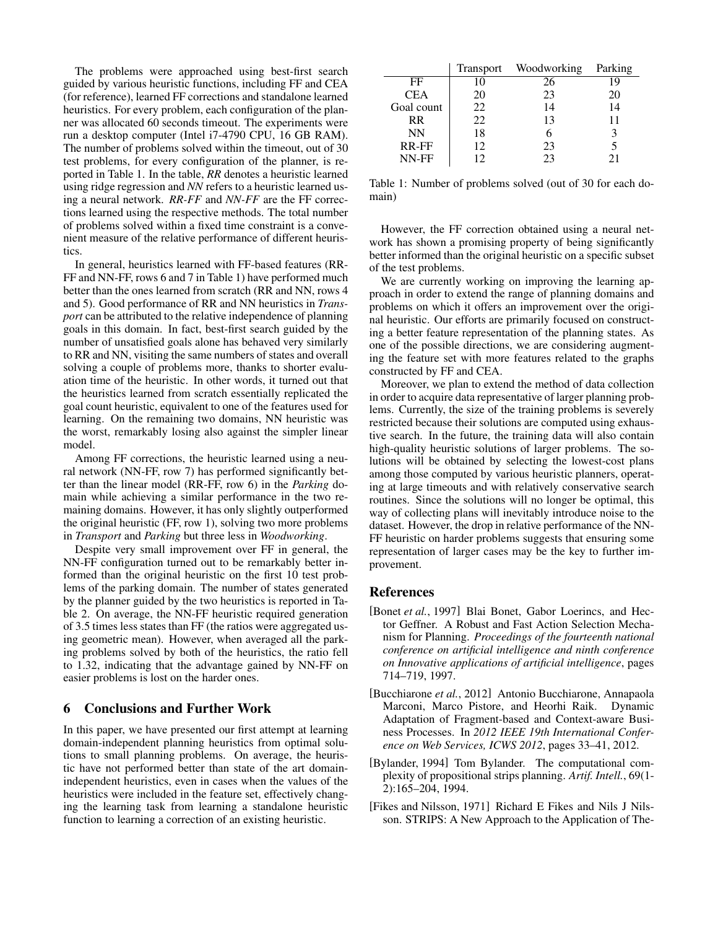The problems were approached using best-first search guided by various heuristic functions, including FF and CEA (for reference), learned FF corrections and standalone learned heuristics. For every problem, each configuration of the planner was allocated 60 seconds timeout. The experiments were run a desktop computer (Intel i7-4790 CPU, 16 GB RAM). The number of problems solved within the timeout, out of 30 test problems, for every configuration of the planner, is reported in Table 1. In the table, *RR* denotes a heuristic learned using ridge regression and *NN* refers to a heuristic learned using a neural network. *RR-FF* and *NN-FF* are the FF corrections learned using the respective methods. The total number of problems solved within a fixed time constraint is a convenient measure of the relative performance of different heuristics.

In general, heuristics learned with FF-based features (RR-FF and NN-FF, rows 6 and 7 in Table 1) have performed much better than the ones learned from scratch (RR and NN, rows 4 and 5). Good performance of RR and NN heuristics in *Transport* can be attributed to the relative independence of planning goals in this domain. In fact, best-first search guided by the number of unsatisfied goals alone has behaved very similarly to RR and NN, visiting the same numbers of states and overall solving a couple of problems more, thanks to shorter evaluation time of the heuristic. In other words, it turned out that the heuristics learned from scratch essentially replicated the goal count heuristic, equivalent to one of the features used for learning. On the remaining two domains, NN heuristic was the worst, remarkably losing also against the simpler linear model.

Among FF corrections, the heuristic learned using a neural network (NN-FF, row 7) has performed significantly better than the linear model (RR-FF, row 6) in the *Parking* domain while achieving a similar performance in the two remaining domains. However, it has only slightly outperformed the original heuristic (FF, row 1), solving two more problems in *Transport* and *Parking* but three less in *Woodworking*.

Despite very small improvement over FF in general, the NN-FF configuration turned out to be remarkably better informed than the original heuristic on the first 10 test problems of the parking domain. The number of states generated by the planner guided by the two heuristics is reported in Table 2. On average, the NN-FF heuristic required generation of 3.5 times less states than FF (the ratios were aggregated using geometric mean). However, when averaged all the parking problems solved by both of the heuristics, the ratio fell to 1.32, indicating that the advantage gained by NN-FF on easier problems is lost on the harder ones.

## 6 Conclusions and Further Work

In this paper, we have presented our first attempt at learning domain-independent planning heuristics from optimal solutions to small planning problems. On average, the heuristic have not performed better than state of the art domainindependent heuristics, even in cases when the values of the heuristics were included in the feature set, effectively changing the learning task from learning a standalone heuristic function to learning a correction of an existing heuristic.

|            | Transport | Woodworking | Parking |
|------------|-----------|-------------|---------|
| FF         | 10        | 26          | 19      |
| <b>CEA</b> | 20        | 23          | 20      |
| Goal count | 22        | 14          | 14      |
| <b>RR</b>  | 22        | 13          | 11      |
| <b>NN</b>  | 18        |             |         |
| RR-FF      | 12        | 23          | 5       |
| NN-FF      | 12        | 23          | 21      |

Table 1: Number of problems solved (out of 30 for each domain)

However, the FF correction obtained using a neural network has shown a promising property of being significantly better informed than the original heuristic on a specific subset of the test problems.

We are currently working on improving the learning approach in order to extend the range of planning domains and problems on which it offers an improvement over the original heuristic. Our efforts are primarily focused on constructing a better feature representation of the planning states. As one of the possible directions, we are considering augmenting the feature set with more features related to the graphs constructed by FF and CEA.

Moreover, we plan to extend the method of data collection in order to acquire data representative of larger planning problems. Currently, the size of the training problems is severely restricted because their solutions are computed using exhaustive search. In the future, the training data will also contain high-quality heuristic solutions of larger problems. The solutions will be obtained by selecting the lowest-cost plans among those computed by various heuristic planners, operating at large timeouts and with relatively conservative search routines. Since the solutions will no longer be optimal, this way of collecting plans will inevitably introduce noise to the dataset. However, the drop in relative performance of the NN-FF heuristic on harder problems suggests that ensuring some representation of larger cases may be the key to further improvement.

## References

- [Bonet *et al.*, 1997] Blai Bonet, Gabor Loerincs, and Hector Geffner. A Robust and Fast Action Selection Mechanism for Planning. *Proceedings of the fourteenth national conference on artificial intelligence and ninth conference on Innovative applications of artificial intelligence*, pages 714–719, 1997.
- [Bucchiarone *et al.*, 2012] Antonio Bucchiarone, Annapaola Marconi, Marco Pistore, and Heorhi Raik. Dynamic Adaptation of Fragment-based and Context-aware Business Processes. In *2012 IEEE 19th International Conference on Web Services, ICWS 2012*, pages 33–41, 2012.
- [Bylander, 1994] Tom Bylander. The computational complexity of propositional strips planning. *Artif. Intell.*, 69(1- 2):165–204, 1994.
- [Fikes and Nilsson, 1971] Richard E Fikes and Nils J Nilsson. STRIPS: A New Approach to the Application of The-